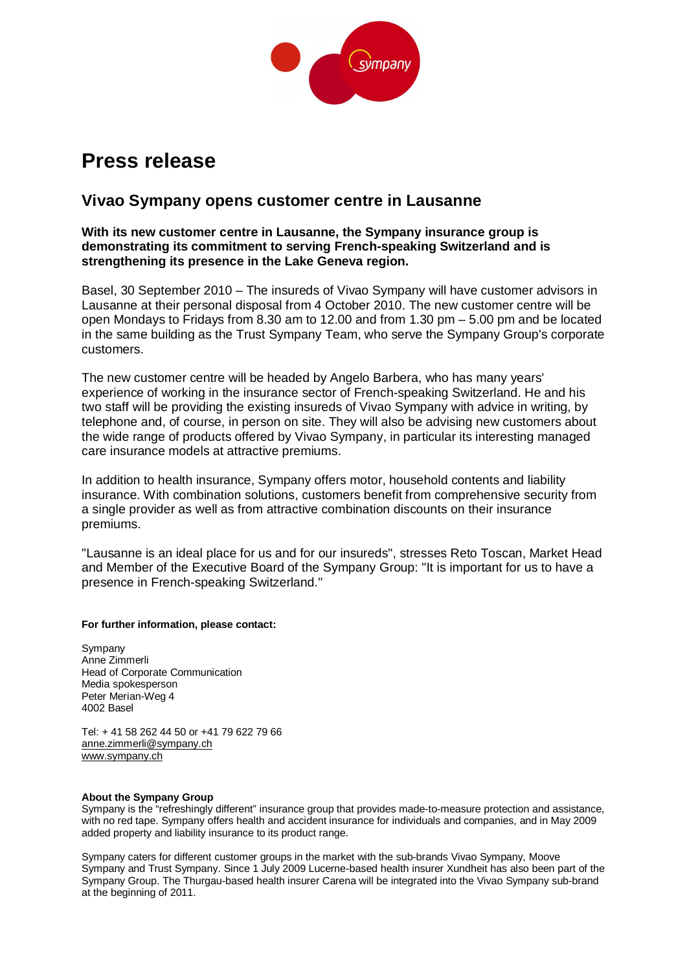

# **Press release**

## **Vivao Sympany opens customer centre in Lausanne**

### **With its new customer centre in Lausanne, the Sympany insurance group is demonstrating its commitment to serving French-speaking Switzerland and is strengthening its presence in the Lake Geneva region.**

Basel, 30 September 2010 – The insureds of Vivao Sympany will have customer advisors in Lausanne at their personal disposal from 4 October 2010. The new customer centre will be open Mondays to Fridays from 8.30 am to 12.00 and from 1.30 pm – 5.00 pm and be located in the same building as the Trust Sympany Team, who serve the Sympany Group's corporate customers.

The new customer centre will be headed by Angelo Barbera, who has many years' experience of working in the insurance sector of French-speaking Switzerland. He and his two staff will be providing the existing insureds of Vivao Sympany with advice in writing, by telephone and, of course, in person on site. They will also be advising new customers about the wide range of products offered by Vivao Sympany, in particular its interesting managed care insurance models at attractive premiums.

In addition to health insurance, Sympany offers motor, household contents and liability insurance. With combination solutions, customers benefit from comprehensive security from a single provider as well as from attractive combination discounts on their insurance premiums.

"Lausanne is an ideal place for us and for our insureds", stresses Reto Toscan, Market Head and Member of the Executive Board of the Sympany Group: "It is important for us to have a presence in French-speaking Switzerland."

#### **For further information, please contact:**

Sympany Anne Zimmerli Head of Corporate Communication Media spokesperson Peter Merian-Weg 4 4002 Basel

Tel: + 41 58 262 44 50 or +41 79 622 79 66 anne.zimmerli@sympany.ch www.sympany.ch

#### **About the Sympany Group**

Sympany is the "refreshingly different" insurance group that provides made-to-measure protection and assistance, with no red tape. Sympany offers health and accident insurance for individuals and companies, and in May 2009 added property and liability insurance to its product range.

Sympany caters for different customer groups in the market with the sub-brands Vivao Sympany, Moove Sympany and Trust Sympany. Since 1 July 2009 Lucerne-based health insurer Xundheit has also been part of the Sympany Group. The Thurgau-based health insurer Carena will be integrated into the Vivao Sympany sub-brand at the beginning of 2011.